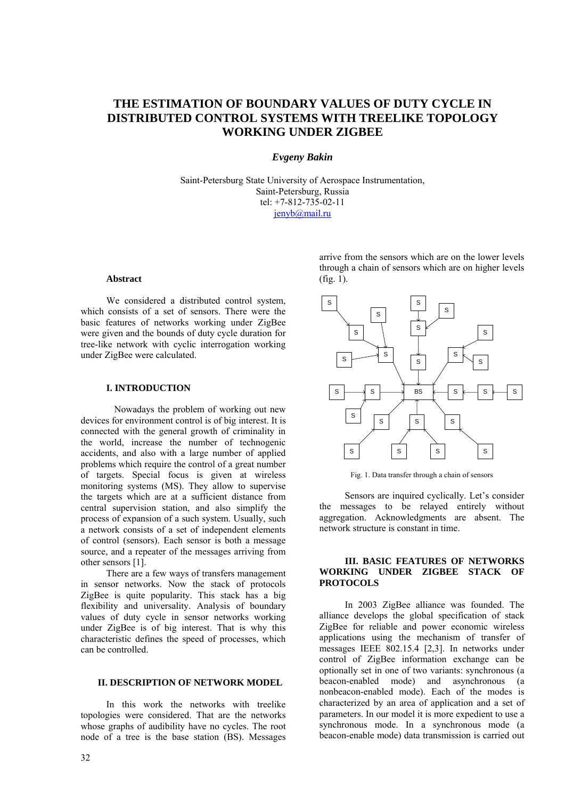# **THE ESTIMATION OF BOUNDARY VALUES OF DUTY CYCLE IN DISTRIBUTED CONTROL SYSTEMS WITH TREELIKE TOPOLOGY WORKING UNDER ZIGBEE**

## *Evgeny Bakin*

Saint-Petersburg State University of Aerospace Instrumentation, Saint-Petersburg, Russia tel: +7-812-735-02-11 jenyb@mail.ru

#### **Abstract**

We considered a distributed control system, which consists of a set of sensors. There were the basic features of networks working under ZigBee were given and the bounds of duty cycle duration for tree-like network with cyclic interrogation working under ZigBee were calculated.

#### **I. INTRODUCTION**

Nowadays the problem of working out new devices for environment control is of big interest. It is connected with the general growth of criminality in the world, increase the number of technogenic accidents, and also with a large number of applied problems which require the control of a great number of targets. Special focus is given at wireless monitoring systems (MS). They allow to supervise the targets which are at a sufficient distance from central supervision station, and also simplify the process of expansion of a such system. Usually, such a network consists of a set of independent elements of control (sensors). Each sensor is both a message source, and a repeater of the messages arriving from other sensors [1].

There are a few ways of transfers management in sensor networks. Now the stack of protocols ZigBee is quite popularity. This stack has a big flexibility and universality. Analysis of boundary values of duty cycle in sensor networks working under ZigBee is of big interest. That is why this characteristic defines the speed of processes, which can be controlled.

# **II. DESCRIPTION OF NETWORK MODEL.**

In this work the networks with treelike topologies were considered. That are the networks whose graphs of audibility have no cycles. The root node of a tree is the base station (BS). Messages arrive from the sensors which are on the lower levels through a chain of sensors which are on higher levels  $(fig. 1)$ .



Fig. 1. Data transfer through a chain of sensors

Sensors are inquired cyclically. Let's consider the messages to be relayed entirely without aggregation. Acknowledgments are absent. The network structure is constant in time.

### **III. BASIC FEATURES OF NETWORKS WORKING UNDER ZIGBEE STACK OF PROTOCOLS**

In 2003 ZigBee alliance was founded. The alliance develops the global specification of stack ZigBee for reliable and power economic wireless applications using the mechanism of transfer of messages IEEE 802.15.4 [2,3]. In networks under control of ZigBee information exchange can be optionally set in one of two variants: synchronous (a beacon-enabled mode) and asynchronous (a nonbeacon-enabled mode). Each of the modes is characterized by an area of application and a set of parameters. In our model it is more expedient to use a synchronous mode. In a synchronous mode (a beacon-enable mode) data transmission is carried out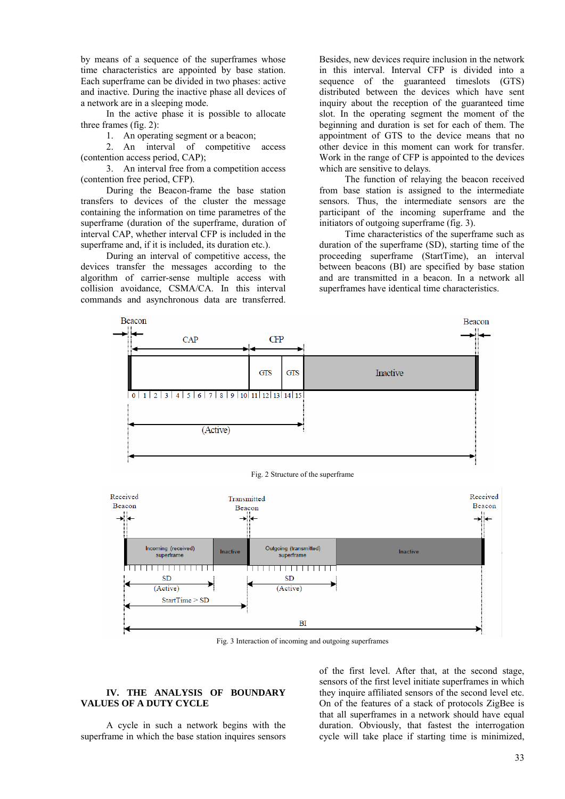by means of a sequence of the superframes whose time characteristics are appointed by base station. Each superframe can be divided in two phases: active and inactive. During the inactive phase all devices of a network are in a sleeping mode.

In the active phase it is possible to allocate three frames (fig. 2):

1. An operating segment or a beacon;

2. An interval of competitive access (contention access period, CAP);

3. An interval free from a competition access (contention free period, CFP).

During the Beacon-frame the base station transfers to devices of the cluster the message containing the information on time parametres of the superframe (duration of the superframe, duration of interval CAP, whether interval CFP is included in the superframe and, if it is included, its duration etc.).

During an interval of competitive access, the devices transfer the messages according to the algorithm of carrier-sense multiple access with collision avoidance, CSMA/CA. In this interval commands and asynchronous data are transferred.

Besides, new devices require inclusion in the network in this interval. Interval CFP is divided into a sequence of the guaranteed timeslots (GTS) distributed between the devices which have sent inquiry about the reception of the guaranteed time slot. In the operating segment the moment of the beginning and duration is set for each of them. The appointment of GTS to the device means that no other device in this moment can work for transfer. Work in the range of СFP is appointed to the devices which are sensitive to delays.

The function of relaying the beacon received from base station is assigned to the intermediate sensors. Thus, the intermediate sensors are the participant of the incoming superframe and the initiators of outgoing superframe (fig. 3).

Time characteristics of the superframe such as duration of the superframe (SD), starting time of the proceeding superframe (StartTime), an interval between beacons (BI) are specified by base station and are transmitted in a beacon. In a network all superframes have identical time characteristics.



Fig. 2 Structure of the superframe



Fig. 3 Interaction of incoming and outgoing superframes

## **IV. THE ANALYSIS OF BOUNDARY VALUES OF A DUTY CYCLE**

A cycle in such a network begins with the superframe in which the base station inquires sensors

of the first level. After that, at the second stage, sensors of the first level initiate superframes in which they inquire affiliated sensors of the second level etc. On of the features of a stack of protocols ZigBee is that all superframes in a network should have equal duration. Obviously, that fastest the interrogation cycle will take place if starting time is minimized,